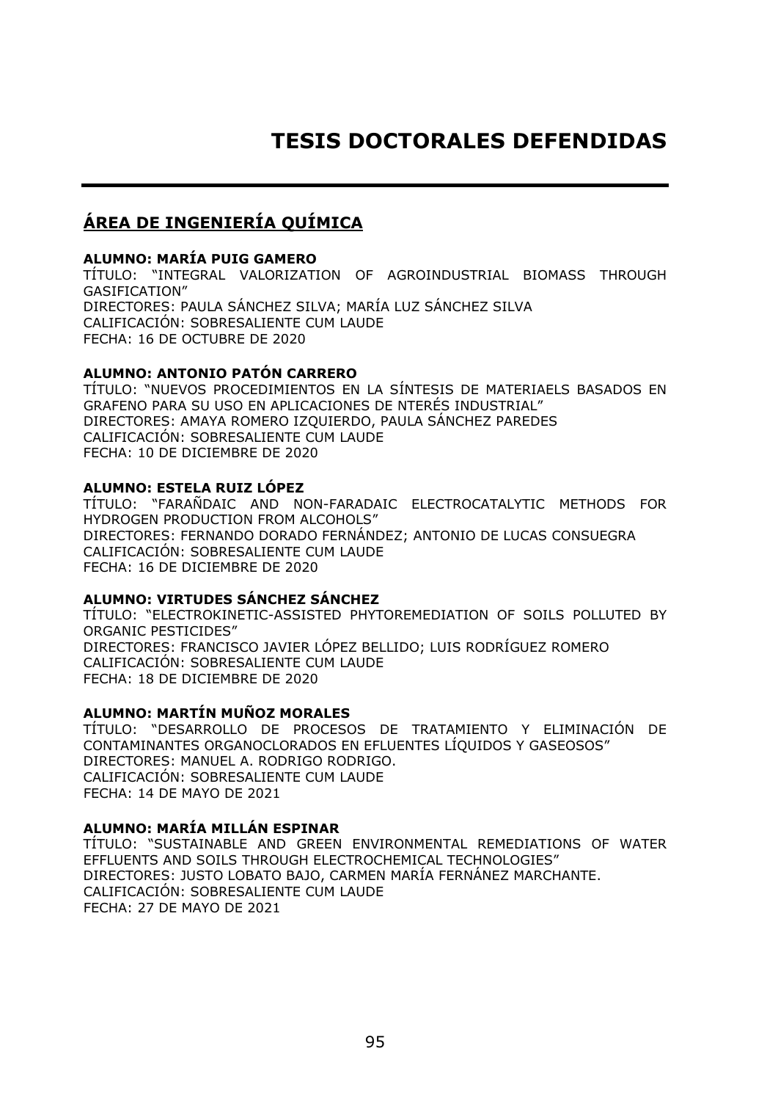# **TESIS DOCTORALES DEFENDIDAS**

# **ÁREA DE INGENIERÍA QUÍMICA**

#### **ALUMNO: MARÍA PUIG GAMERO**

TÍTULO: "INTEGRAL VALORIZATION OF AGROINDUSTRIAL BIOMASS THROUGH GASIFICATION" DIRECTORES: PAULA SÁNCHEZ SILVA; MARÍA LUZ SÁNCHEZ SILVA CALIFICACIÓN: SOBRESALIENTE CUM LAUDE FECHA: 16 DE OCTUBRE DE 2020

#### **ALUMNO: ANTONIO PATÓN CARRERO**

TÍTULO: "NUEVOS PROCEDIMIENTOS EN LA SÍNTESIS DE MATERIAELS BASADOS EN GRAFENO PARA SU USO EN APLICACIONES DE NTERÉS INDUSTRIAL" DIRECTORES: AMAYA ROMERO IZQUIERDO, PAULA SÁNCHEZ PAREDES CALIFICACIÓN: SOBRESALIENTE CUM LAUDE FECHA: 10 DE DICIEMBRE DE 2020

#### **ALUMNO: ESTELA RUIZ LÓPEZ**

TÍTULO: "FARAÑDAIC AND NON-FARADAIC ELECTROCATALYTIC METHODS FOR HYDROGEN PRODUCTION FROM ALCOHOLS" DIRECTORES: FERNANDO DORADO FERNÁNDEZ; ANTONIO DE LUCAS CONSUEGRA CALIFICACIÓN: SOBRESALIENTE CUM LAUDE FECHA: 16 DE DICIEMBRE DE 2020

#### **ALUMNO: VIRTUDES SÁNCHEZ SÁNCHEZ**

TÍTULO: "ELECTROKINETIC-ASSISTED PHYTOREMEDIATION OF SOILS POLLUTED BY ORGANIC PESTICIDES" DIRECTORES: FRANCISCO JAVIER LÓPEZ BELLIDO; LUIS RODRÍGUEZ ROMERO CALIFICACIÓN: SOBRESALIENTE CUM LAUDE FECHA: 18 DE DICIEMBRE DE 2020

#### **ALUMNO: MARTÍN MUÑOZ MORALES**

TÍTULO: "DESARROLLO DE PROCESOS DE TRATAMIENTO Y ELIMINACIÓN DE CONTAMINANTES ORGANOCLORADOS EN EFLUENTES LÍQUIDOS Y GASEOSOS" DIRECTORES: MANUEL A. RODRIGO RODRIGO. CALIFICACIÓN: SOBRESALIENTE CUM LAUDE FECHA: 14 DE MAYO DE 2021

### **ALUMNO: MARÍA MILLÁN ESPINAR**

TÍTULO: "SUSTAINABLE AND GREEN ENVIRONMENTAL REMEDIATIONS OF WATER EFFLUENTS AND SOILS THROUGH ELECTROCHEMICAL TECHNOLOGIES" DIRECTORES: JUSTO LOBATO BAJO, CARMEN MARÍA FERNÁNEZ MARCHANTE. CALIFICACIÓN: SOBRESALIENTE CUM LAUDE FECHA: 27 DE MAYO DE 2021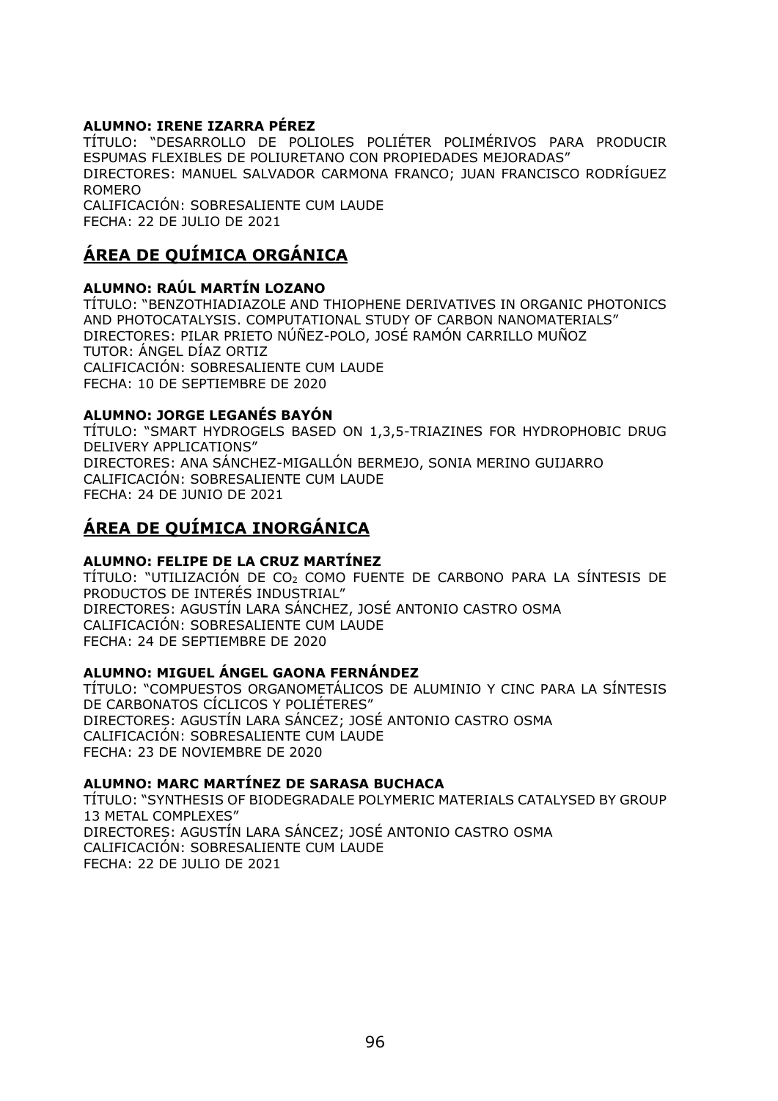#### **ALUMNO: IRENE IZARRA PÉREZ**

TÍTULO: "DESARROLLO DE POLIOLES POLIÉTER POLIMÉRIVOS PARA PRODUCIR ESPUMAS FLEXIBLES DE POLIURETANO CON PROPIEDADES MEJORADAS" DIRECTORES: MANUEL SALVADOR CARMONA FRANCO; JUAN FRANCISCO RODRÍGUEZ ROMERO CALIFICACIÓN: SOBRESALIENTE CUM LAUDE FECHA: 22 DE JULIO DE 2021

### **ÁREA DE QUÍMICA ORGÁNICA**

#### **ALUMNO: RAÚL MARTÍN LOZANO**

TÍTULO: "BENZOTHIADIAZOLE AND THIOPHENE DERIVATIVES IN ORGANIC PHOTONICS AND PHOTOCATALYSIS. COMPUTATIONAL STUDY OF CARBON NANOMATERIALS" DIRECTORES: PILAR PRIETO NÚÑEZ-POLO, JOSÉ RAMÓN CARRILLO MUÑOZ TUTOR: ÁNGEL DÍAZ ORTIZ CALIFICACIÓN: SOBRESALIENTE CUM LAUDE FECHA: 10 DE SEPTIEMBRE DE 2020

#### **ALUMNO: JORGE LEGANÉS BAYÓN**

TÍTULO: "SMART HYDROGELS BASED ON 1,3,5-TRIAZINES FOR HYDROPHOBIC DRUG DELIVERY APPLICATIONS" DIRECTORES: ANA SÁNCHEZ-MIGALLÓN BERMEJO, SONIA MERINO GUIJARRO CALIFICACIÓN: SOBRESALIENTE CUM LAUDE FECHA: 24 DE JUNIO DE 2021

# **ÁREA DE QUÍMICA INORGÁNICA**

#### **ALUMNO: FELIPE DE LA CRUZ MARTÍNEZ**

TÍTULO: "UTILIZACIÓN DE CO2 COMO FUENTE DE CARBONO PARA LA SÍNTESIS DE PRODUCTOS DE INTERÉS INDUSTRIAL" DIRECTORES: AGUSTÍN LARA SÁNCHEZ, JOSÉ ANTONIO CASTRO OSMA CALIFICACIÓN: SOBRESALIENTE CUM LAUDE FECHA: 24 DE SEPTIEMBRE DE 2020

#### **ALUMNO: MIGUEL ÁNGEL GAONA FERNÁNDEZ**

TÍTULO: "COMPUESTOS ORGANOMETÁLICOS DE ALUMINIO Y CINC PARA LA SÍNTESIS DE CARBONATOS CÍCLICOS Y POLIÉTERES" DIRECTORES: AGUSTÍN LARA SÁNCEZ; JOSÉ ANTONIO CASTRO OSMA CALIFICACIÓN: SOBRESALIENTE CUM LAUDE FECHA: 23 DE NOVIEMBRE DE 2020

#### **ALUMNO: MARC MARTÍNEZ DE SARASA BUCHACA**

TÍTULO: "SYNTHESIS OF BIODEGRADALE POLYMERIC MATERIALS CATALYSED BY GROUP 13 METAL COMPLEXES" DIRECTORES: AGUSTÍN LARA SÁNCEZ; JOSÉ ANTONIO CASTRO OSMA CALIFICACIÓN: SOBRESALIENTE CUM LAUDE FECHA: 22 DE JULIO DE 2021